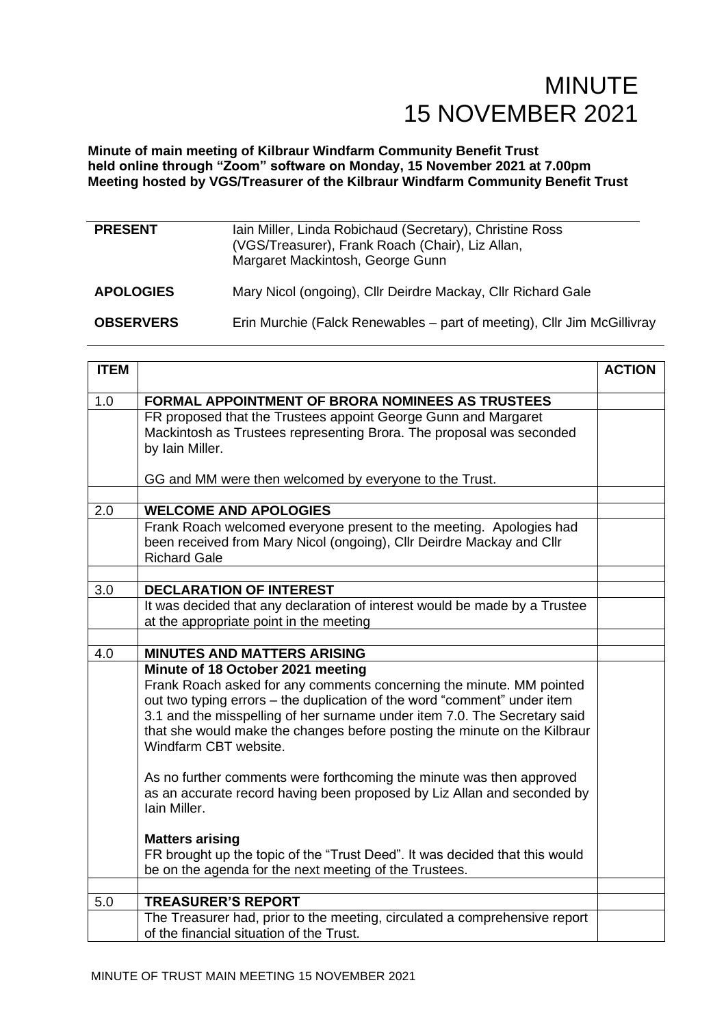**Minute of main meeting of Kilbraur Windfarm Community Benefit Trust held online through "Zoom" software on Monday, 15 November 2021 at 7.00pm Meeting hosted by VGS/Treasurer of the Kilbraur Windfarm Community Benefit Trust**

| <b>PRESENT</b>   | Iain Miller, Linda Robichaud (Secretary), Christine Ross<br>(VGS/Treasurer), Frank Roach (Chair), Liz Allan,<br>Margaret Mackintosh, George Gunn |
|------------------|--------------------------------------------------------------------------------------------------------------------------------------------------|
| <b>APOLOGIES</b> | Mary Nicol (ongoing), Cllr Deirdre Mackay, Cllr Richard Gale                                                                                     |
| <b>OBSERVERS</b> | Erin Murchie (Falck Renewables – part of meeting), Cllr Jim McGillivray                                                                          |

| <b>ITEM</b> |                                                                                                                                                  | <b>ACTION</b> |
|-------------|--------------------------------------------------------------------------------------------------------------------------------------------------|---------------|
| 1.0         | <b>FORMAL APPOINTMENT OF BRORA NOMINEES AS TRUSTEES</b>                                                                                          |               |
|             | FR proposed that the Trustees appoint George Gunn and Margaret                                                                                   |               |
|             | Mackintosh as Trustees representing Brora. The proposal was seconded                                                                             |               |
|             | by Iain Miller.                                                                                                                                  |               |
|             | GG and MM were then welcomed by everyone to the Trust.                                                                                           |               |
|             |                                                                                                                                                  |               |
| 2.0         | <b>WELCOME AND APOLOGIES</b>                                                                                                                     |               |
|             | Frank Roach welcomed everyone present to the meeting. Apologies had                                                                              |               |
|             | been received from Mary Nicol (ongoing), Cllr Deirdre Mackay and Cllr<br><b>Richard Gale</b>                                                     |               |
|             |                                                                                                                                                  |               |
| 3.0         | <b>DECLARATION OF INTEREST</b>                                                                                                                   |               |
|             | It was decided that any declaration of interest would be made by a Trustee                                                                       |               |
|             | at the appropriate point in the meeting                                                                                                          |               |
|             |                                                                                                                                                  |               |
| 4.0         | <b>MINUTES AND MATTERS ARISING</b>                                                                                                               |               |
|             | Minute of 18 October 2021 meeting                                                                                                                |               |
|             | Frank Roach asked for any comments concerning the minute. MM pointed<br>out two typing errors - the duplication of the word "comment" under item |               |
|             | 3.1 and the misspelling of her surname under item 7.0. The Secretary said                                                                        |               |
|             | that she would make the changes before posting the minute on the Kilbraur                                                                        |               |
|             | Windfarm CBT website.                                                                                                                            |               |
|             | As no further comments were forthcoming the minute was then approved                                                                             |               |
|             | as an accurate record having been proposed by Liz Allan and seconded by                                                                          |               |
|             | Iain Miller.                                                                                                                                     |               |
|             | <b>Matters arising</b>                                                                                                                           |               |
|             | FR brought up the topic of the "Trust Deed". It was decided that this would                                                                      |               |
|             | be on the agenda for the next meeting of the Trustees.                                                                                           |               |
|             |                                                                                                                                                  |               |
| 5.0         | <b>TREASURER'S REPORT</b>                                                                                                                        |               |
|             | The Treasurer had, prior to the meeting, circulated a comprehensive report<br>of the financial situation of the Trust.                           |               |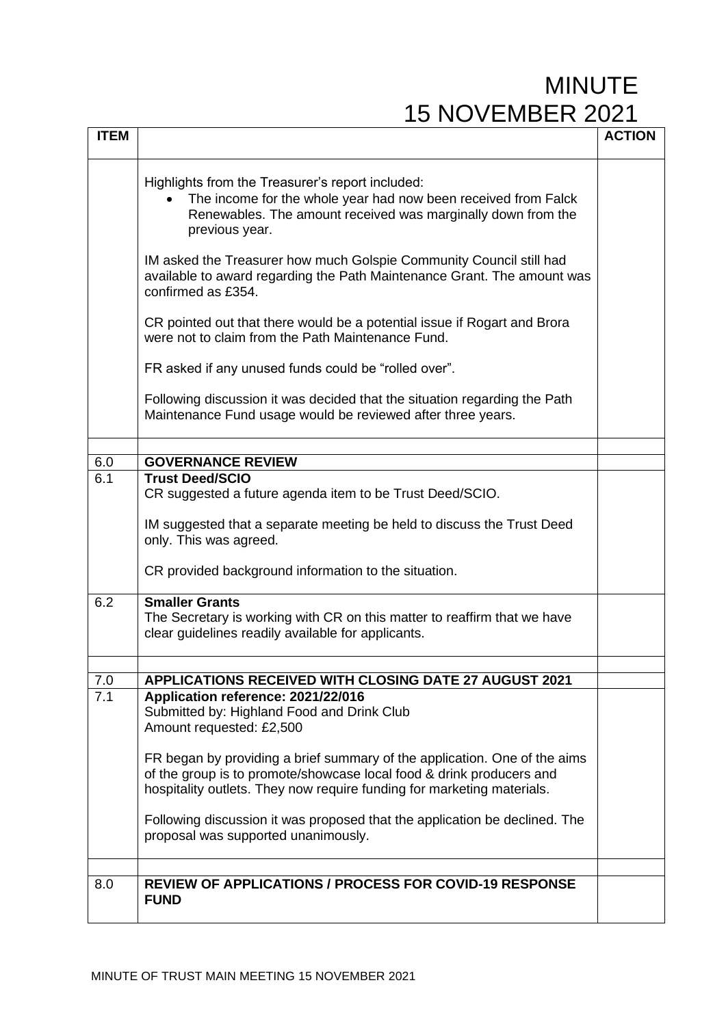| <b>ITEM</b> |                                                                                                                                                                                                                             | <b>ACTION</b> |
|-------------|-----------------------------------------------------------------------------------------------------------------------------------------------------------------------------------------------------------------------------|---------------|
|             |                                                                                                                                                                                                                             |               |
|             | Highlights from the Treasurer's report included:<br>The income for the whole year had now been received from Falck<br>$\bullet$<br>Renewables. The amount received was marginally down from the<br>previous year.           |               |
|             | IM asked the Treasurer how much Golspie Community Council still had<br>available to award regarding the Path Maintenance Grant. The amount was<br>confirmed as £354.                                                        |               |
|             | CR pointed out that there would be a potential issue if Rogart and Brora<br>were not to claim from the Path Maintenance Fund.                                                                                               |               |
|             | FR asked if any unused funds could be "rolled over".                                                                                                                                                                        |               |
|             | Following discussion it was decided that the situation regarding the Path<br>Maintenance Fund usage would be reviewed after three years.                                                                                    |               |
|             |                                                                                                                                                                                                                             |               |
| 6.0         | <b>GOVERNANCE REVIEW</b>                                                                                                                                                                                                    |               |
| 6.1         | <b>Trust Deed/SCIO</b><br>CR suggested a future agenda item to be Trust Deed/SCIO.                                                                                                                                          |               |
|             | IM suggested that a separate meeting be held to discuss the Trust Deed<br>only. This was agreed.                                                                                                                            |               |
|             | CR provided background information to the situation.                                                                                                                                                                        |               |
| 6.2         | <b>Smaller Grants</b><br>The Secretary is working with CR on this matter to reaffirm that we have<br>clear guidelines readily available for applicants.                                                                     |               |
|             |                                                                                                                                                                                                                             |               |
| 7.0         | <b>APPLICATIONS RECEIVED WITH CLOSING DATE 27 AUGUST 2021</b>                                                                                                                                                               |               |
| 7.1         | Application reference: 2021/22/016<br>Submitted by: Highland Food and Drink Club<br>Amount requested: £2,500                                                                                                                |               |
|             | FR began by providing a brief summary of the application. One of the aims<br>of the group is to promote/showcase local food & drink producers and<br>hospitality outlets. They now require funding for marketing materials. |               |
|             | Following discussion it was proposed that the application be declined. The<br>proposal was supported unanimously.                                                                                                           |               |
|             |                                                                                                                                                                                                                             |               |
| 8.0         | <b>REVIEW OF APPLICATIONS / PROCESS FOR COVID-19 RESPONSE</b><br><b>FUND</b>                                                                                                                                                |               |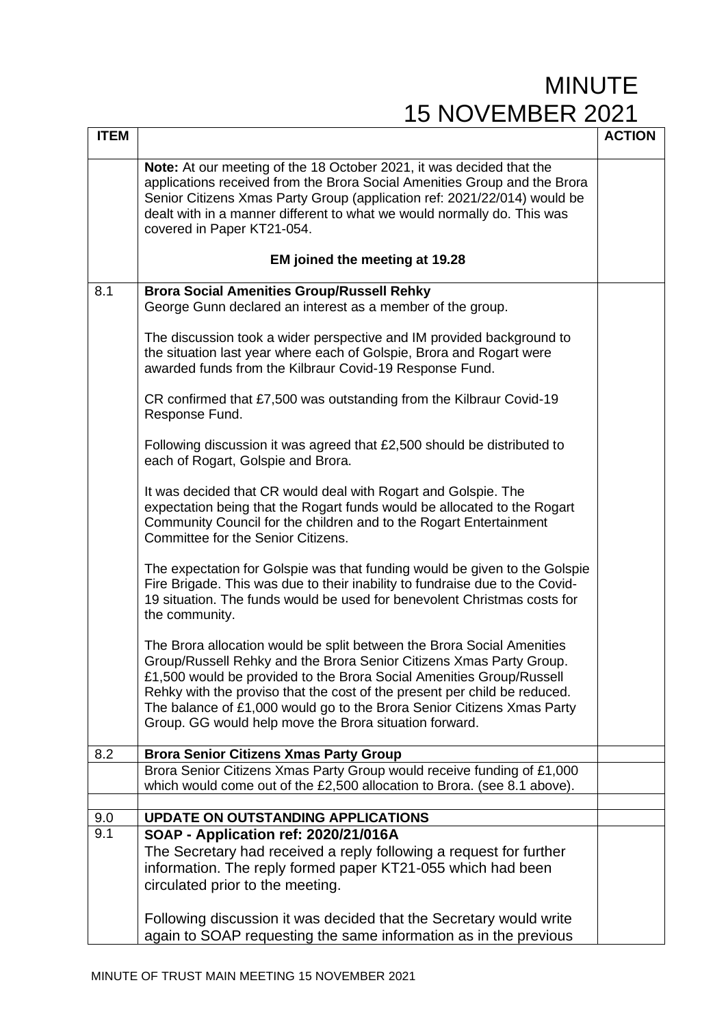| <b>ITEM</b> |                                                                                                                                                                                                                                                                                                                                                                                                                                        | <b>ACTION</b> |
|-------------|----------------------------------------------------------------------------------------------------------------------------------------------------------------------------------------------------------------------------------------------------------------------------------------------------------------------------------------------------------------------------------------------------------------------------------------|---------------|
|             | Note: At our meeting of the 18 October 2021, it was decided that the<br>applications received from the Brora Social Amenities Group and the Brora<br>Senior Citizens Xmas Party Group (application ref: 2021/22/014) would be<br>dealt with in a manner different to what we would normally do. This was<br>covered in Paper KT21-054.                                                                                                 |               |
|             | EM joined the meeting at 19.28                                                                                                                                                                                                                                                                                                                                                                                                         |               |
| 8.1         | <b>Brora Social Amenities Group/Russell Rehky</b>                                                                                                                                                                                                                                                                                                                                                                                      |               |
|             | George Gunn declared an interest as a member of the group.                                                                                                                                                                                                                                                                                                                                                                             |               |
|             | The discussion took a wider perspective and IM provided background to<br>the situation last year where each of Golspie, Brora and Rogart were<br>awarded funds from the Kilbraur Covid-19 Response Fund.                                                                                                                                                                                                                               |               |
|             | CR confirmed that £7,500 was outstanding from the Kilbraur Covid-19<br>Response Fund.                                                                                                                                                                                                                                                                                                                                                  |               |
|             | Following discussion it was agreed that £2,500 should be distributed to<br>each of Rogart, Golspie and Brora.                                                                                                                                                                                                                                                                                                                          |               |
|             | It was decided that CR would deal with Rogart and Golspie. The<br>expectation being that the Rogart funds would be allocated to the Rogart<br>Community Council for the children and to the Rogart Entertainment<br>Committee for the Senior Citizens.                                                                                                                                                                                 |               |
|             | The expectation for Golspie was that funding would be given to the Golspie<br>Fire Brigade. This was due to their inability to fundraise due to the Covid-<br>19 situation. The funds would be used for benevolent Christmas costs for<br>the community.                                                                                                                                                                               |               |
|             | The Brora allocation would be split between the Brora Social Amenities<br>Group/Russell Rehky and the Brora Senior Citizens Xmas Party Group.<br>£1,500 would be provided to the Brora Social Amenities Group/Russell<br>Rehky with the proviso that the cost of the present per child be reduced.<br>The balance of £1,000 would go to the Brora Senior Citizens Xmas Party<br>Group. GG would help move the Brora situation forward. |               |
| 8.2         | <b>Brora Senior Citizens Xmas Party Group</b>                                                                                                                                                                                                                                                                                                                                                                                          |               |
|             | Brora Senior Citizens Xmas Party Group would receive funding of £1,000<br>which would come out of the £2,500 allocation to Brora. (see 8.1 above).                                                                                                                                                                                                                                                                                     |               |
| 9.0         | <b>UPDATE ON OUTSTANDING APPLICATIONS</b>                                                                                                                                                                                                                                                                                                                                                                                              |               |
| 9.1         | SOAP - Application ref: 2020/21/016A                                                                                                                                                                                                                                                                                                                                                                                                   |               |
|             | The Secretary had received a reply following a request for further                                                                                                                                                                                                                                                                                                                                                                     |               |
|             | information. The reply formed paper KT21-055 which had been<br>circulated prior to the meeting.                                                                                                                                                                                                                                                                                                                                        |               |
|             | Following discussion it was decided that the Secretary would write<br>again to SOAP requesting the same information as in the previous                                                                                                                                                                                                                                                                                                 |               |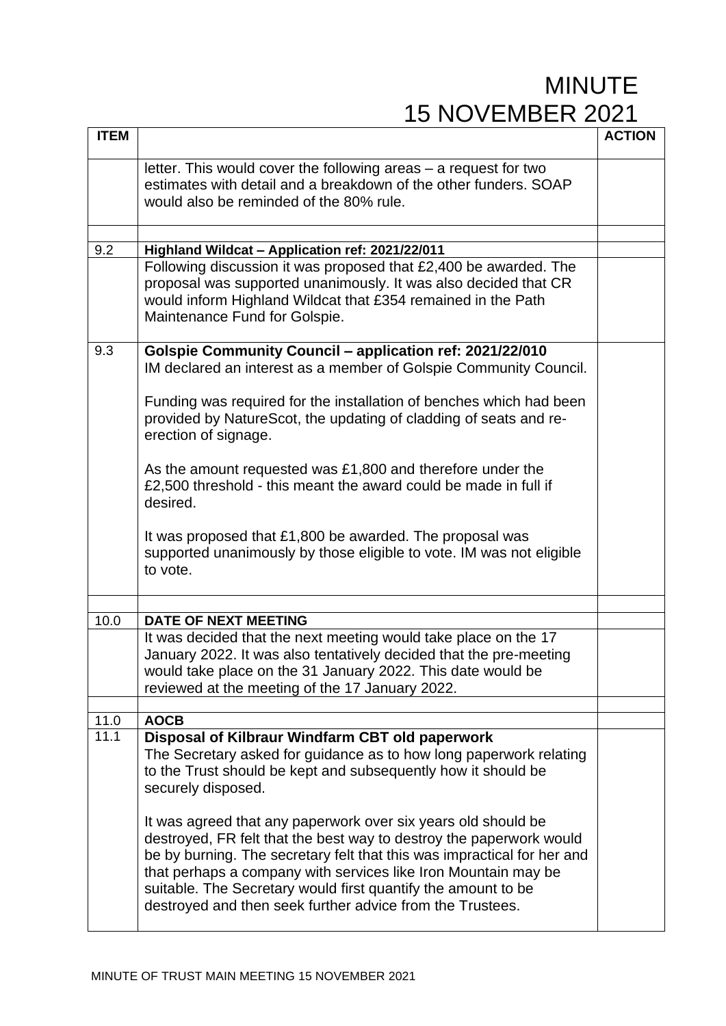| <b>ITEM</b>       |                                                                                                                                                                                                                                                                                                                                                                                                                                                                                                   | <b>ACTION</b> |
|-------------------|---------------------------------------------------------------------------------------------------------------------------------------------------------------------------------------------------------------------------------------------------------------------------------------------------------------------------------------------------------------------------------------------------------------------------------------------------------------------------------------------------|---------------|
|                   | letter. This would cover the following areas – a request for two<br>estimates with detail and a breakdown of the other funders. SOAP<br>would also be reminded of the 80% rule.                                                                                                                                                                                                                                                                                                                   |               |
| 9.2               | Highland Wildcat - Application ref: 2021/22/011                                                                                                                                                                                                                                                                                                                                                                                                                                                   |               |
|                   | Following discussion it was proposed that £2,400 be awarded. The<br>proposal was supported unanimously. It was also decided that CR<br>would inform Highland Wildcat that £354 remained in the Path<br>Maintenance Fund for Golspie.                                                                                                                                                                                                                                                              |               |
| 9.3               | Golspie Community Council - application ref: 2021/22/010<br>IM declared an interest as a member of Golspie Community Council.                                                                                                                                                                                                                                                                                                                                                                     |               |
|                   | Funding was required for the installation of benches which had been<br>provided by NatureScot, the updating of cladding of seats and re-<br>erection of signage.                                                                                                                                                                                                                                                                                                                                  |               |
|                   | As the amount requested was £1,800 and therefore under the<br>£2,500 threshold - this meant the award could be made in full if<br>desired.                                                                                                                                                                                                                                                                                                                                                        |               |
|                   | It was proposed that £1,800 be awarded. The proposal was<br>supported unanimously by those eligible to vote. IM was not eligible<br>to vote.                                                                                                                                                                                                                                                                                                                                                      |               |
|                   |                                                                                                                                                                                                                                                                                                                                                                                                                                                                                                   |               |
| 10.0              | <b>DATE OF NEXT MEETING</b><br>It was decided that the next meeting would take place on the 17<br>January 2022. It was also tentatively decided that the pre-meeting<br>would take place on the 31 January 2022. This date would be<br>reviewed at the meeting of the 17 January 2022.                                                                                                                                                                                                            |               |
| 11.0              | <b>AOCB</b>                                                                                                                                                                                                                                                                                                                                                                                                                                                                                       |               |
| $\overline{11}.1$ | Disposal of Kilbraur Windfarm CBT old paperwork<br>The Secretary asked for guidance as to how long paperwork relating<br>to the Trust should be kept and subsequently how it should be<br>securely disposed.<br>It was agreed that any paperwork over six years old should be<br>destroyed, FR felt that the best way to destroy the paperwork would<br>be by burning. The secretary felt that this was impractical for her and<br>that perhaps a company with services like Iron Mountain may be |               |
|                   | suitable. The Secretary would first quantify the amount to be<br>destroyed and then seek further advice from the Trustees.                                                                                                                                                                                                                                                                                                                                                                        |               |